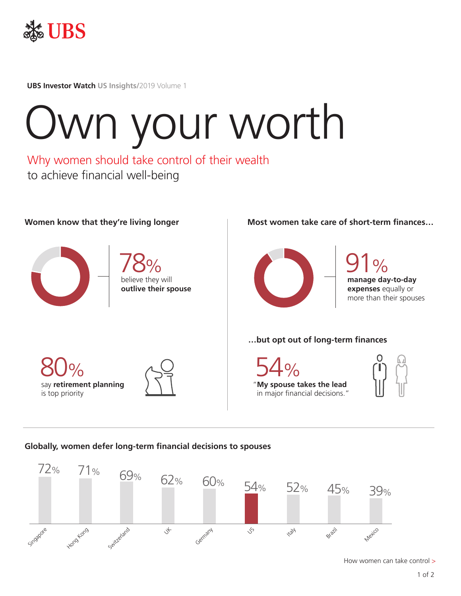

**UBS Investor Watch US Insights/**2019 Volume 1

# Own your worth

Why women should take control of their wealth to achieve financial well-being



80%

is top priority

say **retirement planning**

believe they will **outlive their spouse** 78%

#### Women know that they're living longer **Most women take care of short-term finances...**





### **…but opt out of long-term finances**





## **Globally, women defer long-term financial decisions to spouses**



How women can take control >